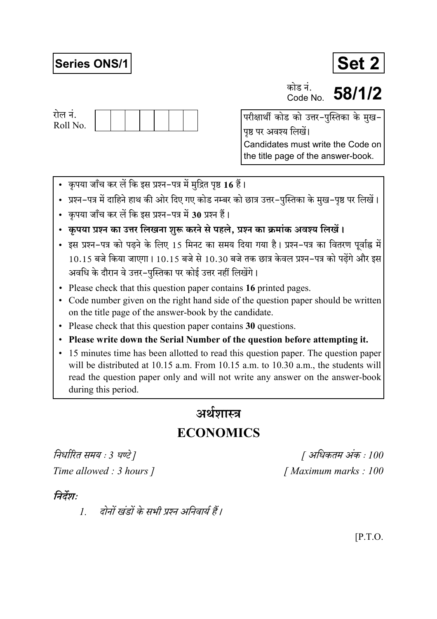## **Series ONS/1**



कोड नं Code No

58/1/2



परीक्षार्थी कोड को उत्तर-पुस्तिका के मुख-पृष्ठ पर अवश्य लिखें। Candidates must write the Code on the title page of the answer-book.

- कृपया जाँच कर लें कि इस प्रश्न-पत्र में मुद्रित पृष्ठ 16 हैं।
- प्रश्न–पत्र में दाहिने हाथ की ओर दिए गए कोड नम्बर को छात्र उत्तर–पुस्तिका के मुख–पृष्ठ पर लिखें।
- कपया जाँच कर लें कि इस प्रश्न-पत्र में 30 प्रश्न हैं।
- कृपया प्रश्न का उत्तर लिखना शुरू करने से पहले, प्रश्न का क्रमांक अवश्य लिखें।
- इस प्रश्न-पत्र को पढने के लिए 15 मिनट का समय दिया गया है। प्रश्न-पत्र का वितरण पूर्वाह्न में  $10.15$  बजे किया जाएगा।  $10.15$  बजे से  $10.30$  बजे तक छात्र केवल प्रश्न-पत्र को पढेंगे और इस अवधि के दौरान वे उत्तर-पस्तिका पर कोई उत्तर नहीं लिखेंगे।
- Please check that this question paper contains 16 printed pages.
- Code number given on the right hand side of the question paper should be written on the title page of the answer-book by the candidate.
- Please check that this question paper contains 30 questions.
- Please write down the Serial Number of the question before attempting it.
- 15 minutes time has been allotted to read this question paper. The question paper will be distributed at 10.15 a.m. From 10.15 a.m. to 10.30 a.m., the students will read the question paper only and will not write any answer on the answer-book during this period.

# अर्थशास्त्र

## **ECONOMICS**

निर्धारित समय : 3 घण्टे ] Time allowed : 3 hours 1

[ अधिकतम अंक : 100 [Maximum marks: 100]

### निर्देश:

दोनों खंडों के सभी प्रश्न अनिवार्य हैं।  $\mathcal{I}$ 

 $[$ P.T.O.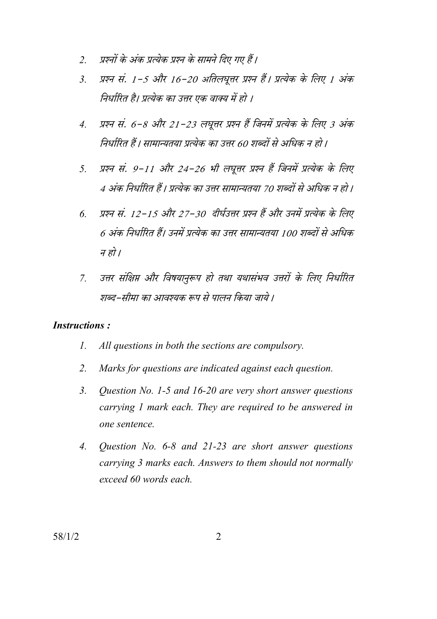- प्रश्नों के अंक प्रत्येक प्रश्न के सामने दिए गए हैं।  $\overline{2}$
- प्रश्न सं. 1-5 और 16-20 अतिलघूत्तर प्रश्न हैं। प्रत्येक के लिए 1 अंक  $\mathcal{E}$ निर्धारित है। प्रत्येक का उत्तर एक वाक्य में हो ।
- प्रश्न सं. 6-8 और 21-23 लघूत्तर प्रश्न हैं जिनमें प्रत्येक के लिए 3 अंक  $\overline{4}$ . निर्धारित हैं। सामान्यतया प्रत्येक का उत्तर 60 शब्दों से अधिक न हो।
- प्रश्न सं. 9-11 और 24-26 भी लघूत्तर प्रश्न हैं जिनमें प्रत्येक के लिए  $5<sub>1</sub>$ 4 अंक निर्धारित हैं। प्रत्येक का उत्तर सामान्यतया 70 शब्दों से अधिक न हो।
- प्रश्न सं. 12-15 और 27-30 दीर्घउत्तर प्रश्न हैं और उनमें प्रत्येक के लिए  $\overline{6}$ 6 अंक निर्धारित हैं। उनमें प्रत्येक का उत्तर सामान्यतया 100 शब्दों से अधिक न हो ।
- उत्तर संक्षिप्त और विषयानुरूप हो तथा यथासंभव उत्तरों के लिए निर्धारित  $\overline{7}$ शब्द–सीमा का आवश्यक रूप से पालन किया जाये ।

### **Instructions:**

- $\mathcal{I}$ . All questions in both the sections are compulsory.
- $2.$ Marks for questions are indicated against each question.
- $\mathcal{E}$ Question No. 1-5 and 16-20 are very short answer questions carrying 1 mark each. They are required to be answered in one sentence.
- $\overline{4}$ . Question No.  $6-8$  and  $21-23$  are short answer questions carrying 3 marks each. Answers to them should not normally exceed 60 words each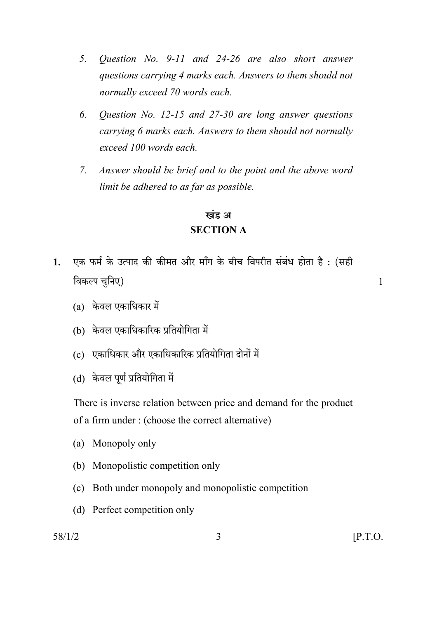- $5<sub>1</sub>$ Question No. 9-11 and 24-26 are also short answer questions carrying 4 marks each. Answers to them should not normally exceed 70 words each.
- 6. Question No.  $12-15$  and  $27-30$  are long answer questions carrying 6 marks each. Answers to them should not normally exceed 100 words each.
- Answer should be brief and to the point and the above word  $7.$ limit be adhered to as far as possible.

### खंड अ **SECTION A**

- एक फर्म के उत्पाद की कीमत और माँग के बीच विपरीत संबंध होता है : (सही  $1<sup>1</sup>$ विकल्प चुनिए)
	- $(a)$  केवल एकाधिकार में
	- (b) केवल एकाधिकारिक प्रतियोगिता में
	- (c) एकाधिकार और एकाधिकारिक प्रतियोगिता दोनों में
	- (d) केवल पूर्ण प्रतियोगिता में

There is inverse relation between price and demand for the product of a firm under: (choose the correct alternative)

- (a) Monopoly only
- (b) Monopolistic competition only
- (c) Both under monopoly and monopolistic competition
- (d) Perfect competition only

 $\mathbf{1}$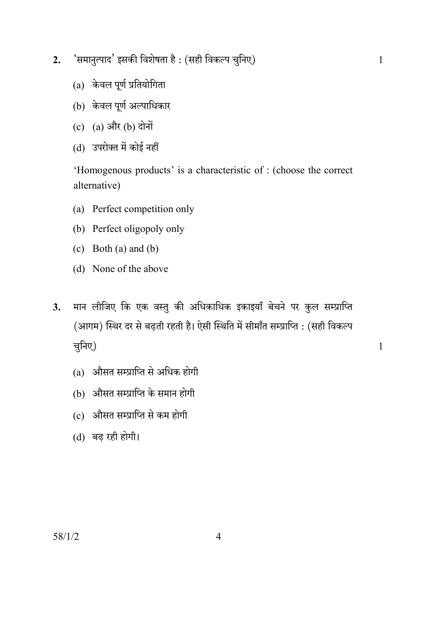- 'समानुत्पाद' इसकी विशेषता है : (सही विकल्प चुनिए)  $2.$ 
	- (a) केवल पूर्ण प्रतियोगिता
	- (b) केवल पूर्ण अल्पाधिकार
	- (c)  $(a)$  और  $(b)$  दोनों
	- (d) उपरोक्त में कोई नहीं

'Homogenous products' is a characteristic of : (choose the correct alternative)

- (a) Perfect competition only
- (b) Perfect oligopoly only
- (c) Both (a) and (b)
- (d) None of the above
- मान लीजिए कि एक वस्तु की अधिकाधिक इकाइयाँ बेचने पर कुल सम्प्राप्ति  $3.$ (आगम) स्थिर दर से बढती रहती है। ऐसी स्थिति में सीमाँत सम्प्राप्ति : (सही विकल्प चुनिए)
	- (a) औसत सम्प्राप्ति से अधिक होगी
	- (b) औसत सम्प्राप्ति के समान होगी
	- (c) औसत सम्प्राप्ति से कम होगी
	- (d) बढ रही होगी।

 $58/1/2$ 

 $\overline{4}$ 

 $\mathbf{1}$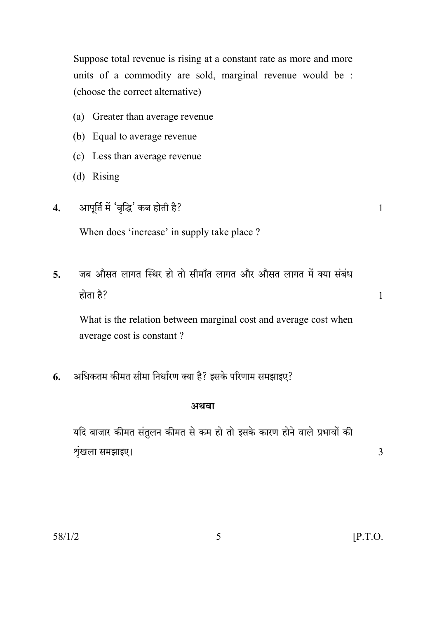Suppose total revenue is rising at a constant rate as more and more units of a commodity are sold, marginal revenue would be : (choose the correct alternative)

- (a) Greater than average revenue
- (b) Equal to average revenue
- (c) Less than average revenue
- $(d)$  Rising
- आपूर्ति में 'वृद्धि' कब होती है?  $\overline{4}$ .

When does 'increase' in supply take place ?

जब औसत लागत स्थिर हो तो सीमाँत लागत और औसत लागत में क्या संबंध  $\overline{\mathbf{5}}$ . होता है?

What is the relation between marginal cost and average cost when average cost is constant?

अधिकतम कीमत सीमा निर्धारण क्या है? इसके परिणाम समझाइए? 6.

### अथवा

यदि बाजार कीमत संतुलन कीमत से कम हो तो इसके कारण होने वाले प्रभावों की शृंखला समझाइए।

 $\overline{3}$ 

 $\mathbf{1}$ 

 $\mathbf{1}$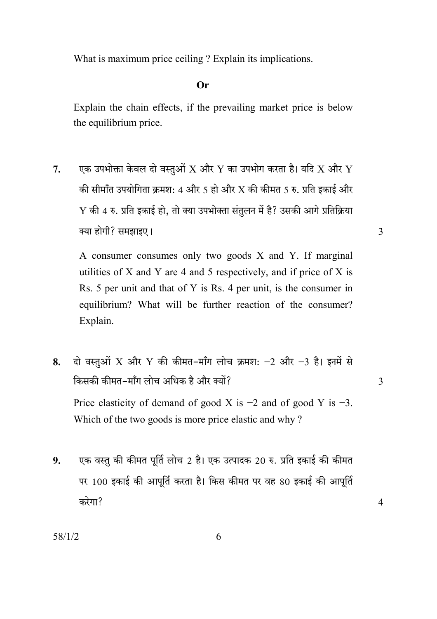What is maximum price ceiling? Explain its implications.

### $Or$

Explain the chain effects, if the prevailing market price is below the equilibrium price.

एक उपभोक्ता केवल दो वस्तुओं  $\overline{X}$  और  $\overline{Y}$  का उपभोग करता है। यदि  $\overline{X}$  और  $\overline{Y}$  $7.$ की सीमाँत उपयोगिता क्रमश: 4 और 5 हो और X की कीमत 5 रु. प्रति इकाई और  $Y$  की 4 रु. प्रति इकाई हो, तो क्या उपभोक्ता संतुलन में है? उसकी आगे प्रतिक्रिया क्या होगी? समझाइए।

A consumer consumes only two goods X and Y. If marginal utilities of X and Y are 4 and 5 respectively, and if price of X is Rs. 5 per unit and that of Y is Rs. 4 per unit, is the consumer in equilibrium? What will be further reaction of the consumer? Explain.

- दो वस्तुओं X और Y की कीमत-माँग लोच क्रमश:  $-2$  और  $-3$  है। इनमें से 8. किसकी कीमत-माँग लोच अधिक है और क्यों? Price elasticity of demand of good X is  $-2$  and of good Y is  $-3$ . Which of the two goods is more price elastic and why?
- एक वस्तु की कीमत पूर्ति लोच 2 है। एक उत्पादक 20 रु. प्रति इकाई की कीमत  $9<sub>r</sub>$ पर 100 इकाई की आपूर्ति करता है। किस कीमत पर वह 80 इकाई की आपूर्ति करेगा?

 $\overline{3}$ 

 $\overline{4}$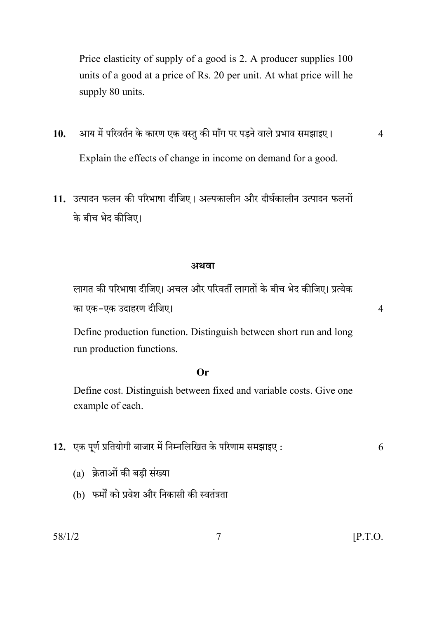Price elasticity of supply of a good is 2. A producer supplies 100 units of a good at a price of Rs. 20 per unit. At what price will he supply 80 units.

- आय में परिवर्तन के कारण एक वस्तु की माँग पर पडने वाले प्रभाव समझाइए।  $10.$ Explain the effects of change in income on demand for a good.
- 11. उत्पादन फलन की परिभाषा दीजिए। अल्पकालीन और दीर्घकालीन उत्पादन फलनों के बीच भेद कीजिए।

### अथवा

लागत की परिभाषा दीजिए। अचल और परिवर्ती लागतों के बीच भेद कीजिए। प्रत्येक का एक-एक उदाहरण दीजिए।

Define production function. Distinguish between short run and long run production functions.

### $Or$

Define cost. Distinguish between fixed and variable costs. Give one example of each.

- 12. एक पूर्ण प्रतियोगी बाजार में निम्नलिखित के परिणाम समझाइए: 6
	- (a) क्रेताओं की बड़ी संख्या
	- (b) फर्मों को प्रवेश और निकासी की स्वतंत्रता

 $\overline{4}$ 

 $\overline{4}$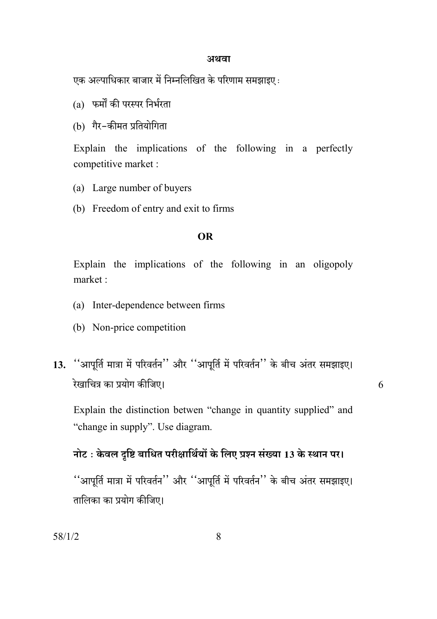#### अथवा

एक अल्पाधिकार बाजार में निम्नलिखित के परिणाम समझाइए :

- (a) फर्मों की परस्पर निर्भरता
- (b) गैर-कीमत प्रतियोगिता

Explain the implications of the following in a perfectly competitive market :

- (a) Large number of buyers
- (b) Freedom of entry and exit to firms

### **OR**

Explain the implications of the following in an oligopoly market:

- (a) Inter-dependence between firms
- (b) Non-price competition
- 13. "आपूर्ति मात्रा में परिवर्तन" और "आपूर्ति में परिवर्तन" के बीच अंतर समझाइए। रेखाचित्र का प्रयोग कीजिए।

6

Explain the distinction betwen "change in quantity supplied" and "change in supply". Use diagram.

### नोट: केवल दृष्टि बाधित परीक्षार्थियों के लिए प्रश्न संख्या 13 के स्थान पर।

''आपूर्ति मात्रा में परिवर्तन'' और ''आपूर्ति में परिवर्तन'' के बीच अंतर समझाइए। तालिका का प्रयोग कीजिए।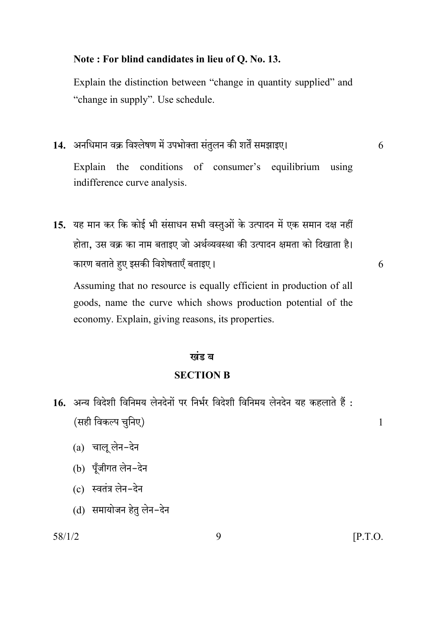### Note: For blind candidates in lieu of Q. No. 13.

Explain the distinction between "change in quantity supplied" and "change in supply". Use schedule.

14. अनधिमान वक्र विश्लेषण में उपभोक्ता संतुलन की शर्तें समझाइए।

6

 $\overline{6}$ 

 $\mathbf{1}$ 

the conditions of consumer's equilibrium using Explain indifference curve analysis.

15. यह मान कर कि कोई भी संसाधन सभी वस्तुओं के उत्पादन में एक समान दक्ष नहीं होता, उस वक्र का नाम बताइए जो अर्थव्यवस्था की उत्पादन क्षमता को दिखाता है। कारण बताते हुए इसकी विशेषताएँ बताइए।

Assuming that no resource is equally efficient in production of all goods, name the curve which shows production potential of the economy. Explain, giving reasons, its properties.

### खंड ब

### **SECTION B**

- 16. अन्य विदेशी विनिमय लेनदेनों पर निर्भर विदेशी विनिमय लेनदेन यह कहलाते हैं : (सही विकल्प चुनिए)
	- $(a)$  चालू लेन-देन
	- (b) पूँजीगत लेन-देन
	- $(c)$  स्वतंत्र लेन-देन
	- (d) समायोजन हेतु लेन-देन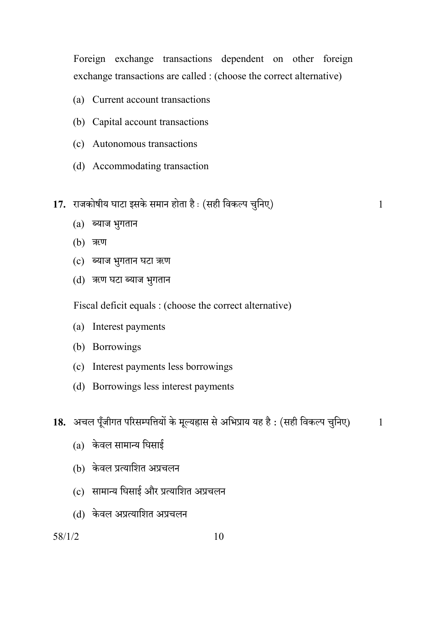Foreign exchange transactions dependent on other foreign exchange transactions are called : (choose the correct alternative)

- (a) Current account transactions
- (b) Capital account transactions
- (c) Autonomous transactions
- (d) Accommodating transaction
- 17. राजकोषीय घाटा इसके समान होता है: (सही विकल्प चुनिए)

 $\mathbf{1}$ 

- $(a)$  ब्याज भुगतान
- (b) ऋण
- (c) ब्याज भुगतान घटा ऋण
- (d) ऋण घटा ब्याज भुगतान

Fiscal deficit equals : (choose the correct alternative)

- (a) Interest payments
- (b) Borrowings
- (c) Interest payments less borrowings
- (d) Borrowings less interest payments

18. अचल पूँजीगत परिसम्पत्तियों के मूल्यहास से अभिप्राय यह है: (सही विकल्प चुनिए)  $\mathbf{1}$ 

- $(a)$  केवल सामान्य घिसाई
- (b) केवल प्रत्याशित अप्रचलन
- (c) सामान्य घिसाई और प्रत्याशित अप्रचलन
- (d) केवल अप्रत्याशित अप्रचलन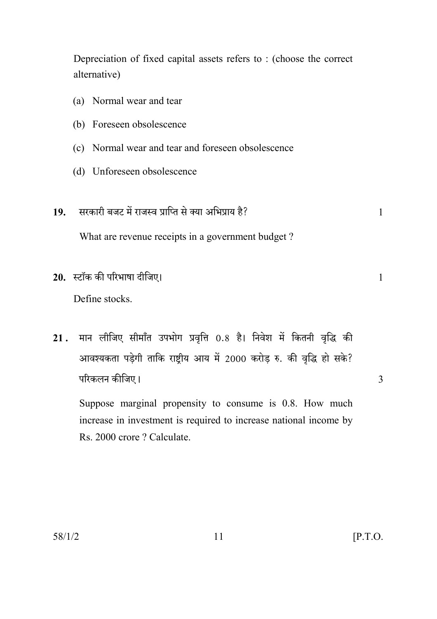Depreciation of fixed capital assets refers to: (choose the correct alternative)

- (a) Normal wear and tear (b) Foreseen obsolescence (c) Normal wear and tear and foreseen obsolescence (d) Unforeseen obsolescence
- सरकारी बजट में राजस्व प्राप्ति से क्या अभिप्राय है? 19.

What are revenue receipts in a government budget?

20. स्टॉक की परिभाषा दीजिए।

Define stocks

मान लीजिए सीमाँत उपभोग प्रवृत्ति 0.8 है। निवेश में कितनी वृद्धि की  $21.$ आवश्यकता पड़ेगी ताकि राष्टीय आय में 2000 करोड रु. की वृद्धि हो सके? परिकलन कीजिए।

Suppose marginal propensity to consume is 0.8. How much increase in investment is required to increase national income by Rs. 2000 crore ? Calculate.

 $\mathbf{1}$ 

 $\mathbf{1}$ 

3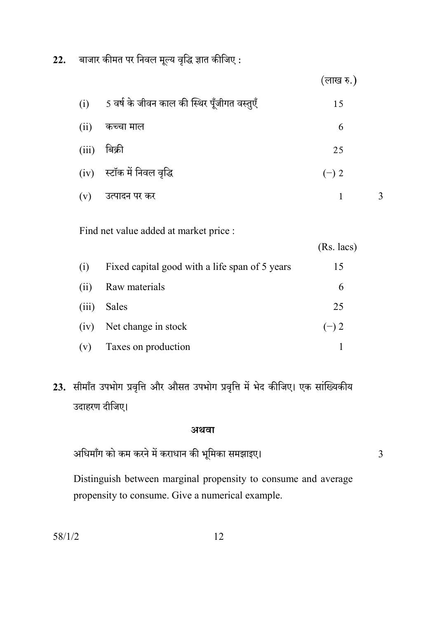22. बाजार कीमत पर निवल मूल्य वृद्धि ज्ञात कीजिए :

|       |                                             | (लाख रु.)    |
|-------|---------------------------------------------|--------------|
| (i)   | 5 वर्ष के जीवन काल की स्थिर पूँजीगत वस्तुएँ | 15           |
| (ii)  | कच्चा माल                                   | 6            |
| (iii) | बिक्री                                      | 25           |
| (iv)  | स्टॉक में निवल वृद्धि                       | $(-)$ 2      |
| (v)   | उत्पादन पर कर                               | $\mathbf{1}$ |
|       |                                             |              |

Find net value added at market price :

|       |                                                | $(Rs.$ lacs) |
|-------|------------------------------------------------|--------------|
| (i)   | Fixed capital good with a life span of 5 years | 15           |
| (i)   | Raw materials                                  | 6            |
| (iii) | Sales                                          | 25           |
| (iv)  | Net change in stock                            | $(-) 2$      |
| (v)   | Taxes on production                            |              |

23. सीमाँत उपभोग प्रवृत्ति और औसत उपभोग प्रवृत्ति में भेद कीजिए। एक सांख्यिकीय उदाहरण दीजिए।

### अथवा

अधिमाँग को कम करने में कराधान की भूमिका समझाइए।

 $\overline{3}$ 

Distinguish between marginal propensity to consume and average propensity to consume. Give a numerical example.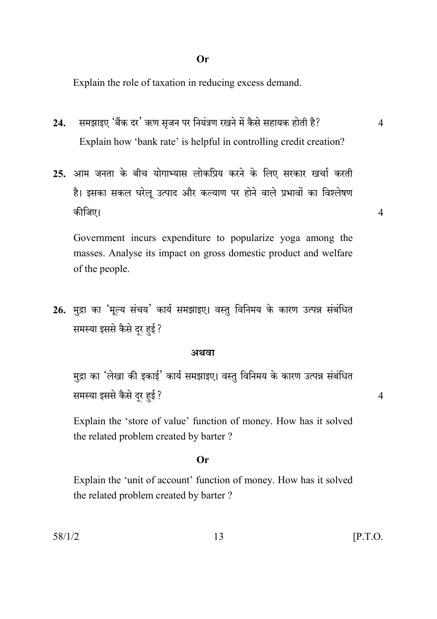Explain the role of taxation in reducing excess demand.

- समझाइए 'बैंक दर' ऋण सृजन पर नियंत्रण रखने में कैसे सहायक होती है?  $24.$ Explain how 'bank rate' is helpful in controlling credit creation?
- 25. आम जनता के बीच योगाभ्यास लोकप्रिय करने के लिए सरकार खर्चा करती है। इसका सकल घरेलू उत्पाद और कल्याण पर होने वाले प्रभावों का विश्लेषण कीजिए।

Government incurs expenditure to popularize yoga among the masses. Analyse its impact on gross domestic product and welfare of the people.

26. मुद्रा का 'मूल्य संचय' कार्य समझाइए। वस्तु विनिमय के कारण उत्पन्न संबंधित समस्या इससे कैसे दूर हुई ?

### अथवा

मुद्रा का 'लेखा की इकाई' कार्य समझाइए। वस्तु विनिमय के कारण उत्पन्न संबंधित समस्या इससे कैसे दूर हुई ?

Explain the 'store of value' function of money. How has it solved the related problem created by barter?

### $Or$

Explain the 'unit of account' function of money. How has it solved the related problem created by barter?

13

 $\overline{4}$ 

 $\overline{4}$ 

 $\overline{4}$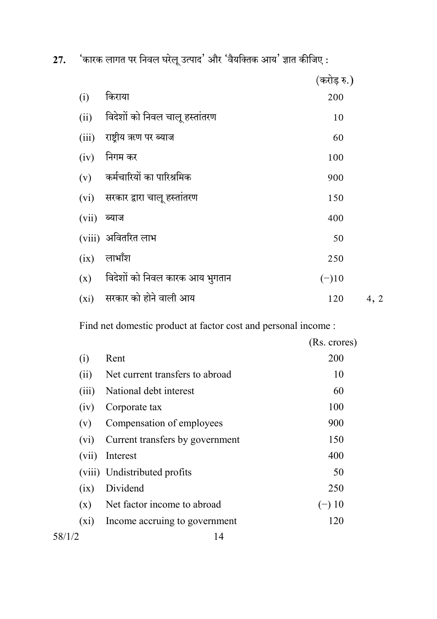27. 'कारक लागत पर निवल घरेलू उत्पाद' और 'वैयक्तिक आय' ज्ञात कीजिए :

|       |                                  | (करोड़ रु.) |      |
|-------|----------------------------------|-------------|------|
| (i)   | किराया                           | 200         |      |
| (ii)  | विदेशों को निवल चालू हस्तांतरण   | 10          |      |
|       | (iii) राष्ट्रीय ऋण पर ब्याज      | 60          |      |
| (iv)  | निगम कर                          | 100         |      |
|       | (v) कर्मचारियों का पारिश्रमिक    | 900         |      |
|       | (vi) सरकार द्वारा चालू हस्तांतरण | 150         |      |
| (vii) | ब्याज                            | 400         |      |
|       | (viii) अवितरित लाभ               | 50          |      |
| (ix)  | लाभाँश                           | 250         |      |
| (x)   | विदेशों को निवल कारक आय भुगतान   | $(-)10$     |      |
|       | $(xi)$ सरकार को होने वाली आय     | 120         | 4, 2 |

Find net domestic product at factor cost and personal income :

|                   |                                 | (Rs. crores) |
|-------------------|---------------------------------|--------------|
| (i)               | Rent                            | 200          |
| (ii)              | Net current transfers to abroad | 10           |
| (iii)             | National debt interest          | 60           |
| (iv)              | Corporate tax                   | 100          |
| (v)               | Compensation of employees       | 900          |
| (v <sub>1</sub> ) | Current transfers by government | 150          |
| (vii)             | Interest                        | 400          |
|                   | (viii) Undistributed profits    | 50           |
| (ix)              | Dividend                        | 250          |
| (x)               | Net factor income to abroad     | $(-) 10$     |
| $(x_1)$           | Income accruing to government   | 120          |
| 58/1/2            | 14                              |              |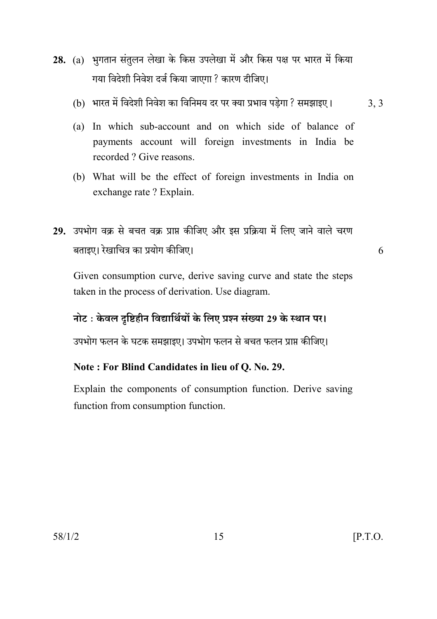- 28. (a) भगतान संतुलन लेखा के किस उपलेखा में और किस पक्ष पर भारत में किया गया विदेशी निवेश दर्ज किया जाएगा ? कारण दीजिए।
	- (b) भारत में विदेशी निवेश का विनिमय दर पर क्या प्रभाव पडेगा ? समझाइए।  $3.3$
	- (a) In which sub-account and on which side of balance of payments account will foreign investments in India be recorded? Give reasons.
	- (b) What will be the effect of foreign investments in India on exchange rate ? Explain.
- 29. उपभोग वक्र से बचत वक्र प्राप्त कीजिए और इस प्रक्रिया में लिए जाने वाले चरण बताइए। रेखाचित्र का प्रयोग कीजिए।

6

Given consumption curve, derive saving curve and state the steps taken in the process of derivation. Use diagram.

## नोट: केवल दृष्टिहीन विद्यार्थियों के लिए प्रश्न संख्या 29 के स्थान पर।

उपभोग फलन के घटक समझाइए। उपभोग फलन से बचत फलन प्राप्त कीजिए।

### Note: For Blind Candidates in lieu of Q. No. 29.

Explain the components of consumption function. Derive saving function from consumption function.